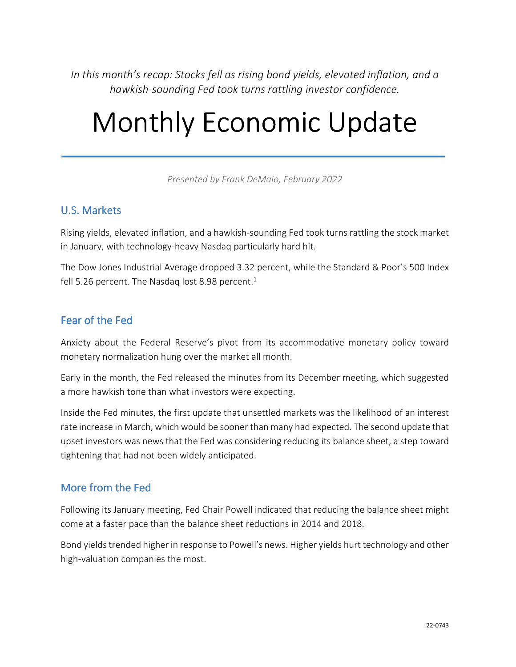*In this month's recap: Stocks fell as rising bond yields, elevated inflation, and a hawkish-sounding Fed took turns rattling investor confidence.* 

# Monthly Economic Update

*Presented by Frank DeMaio, February 2022*

#### U.S. Markets

Rising yields, elevated inflation, and a hawkish-sounding Fed took turns rattling the stock market in January, with technology-heavy Nasdaq particularly hard hit.

The Dow Jones Industrial Average dropped 3.32 percent, while the Standard & Poor's 500 Index fell 5.26 percent. The Nasdaq lost 8.98 percent.<sup>1</sup>

#### Fear of the Fed

Anxiety about the Federal Reserve's pivot from its accommodative monetary policy toward monetary normalization hung over the market all month.

Early in the month, the Fed released the minutes from its December meeting, which suggested a more hawkish tone than what investors were expecting.

Inside the Fed minutes, the first update that unsettled markets was the likelihood of an interest rate increase in March, which would be sooner than many had expected. The second update that upset investors was news that the Fed was considering reducing its balance sheet, a step toward tightening that had not been widely anticipated.

#### More from the Fed

Following its January meeting, Fed Chair Powell indicated that reducing the balance sheet might come at a faster pace than the balance sheet reductions in 2014 and 2018.

Bond yields trended higher in response to Powell's news. Higher yields hurt technology and other high-valuation companies the most.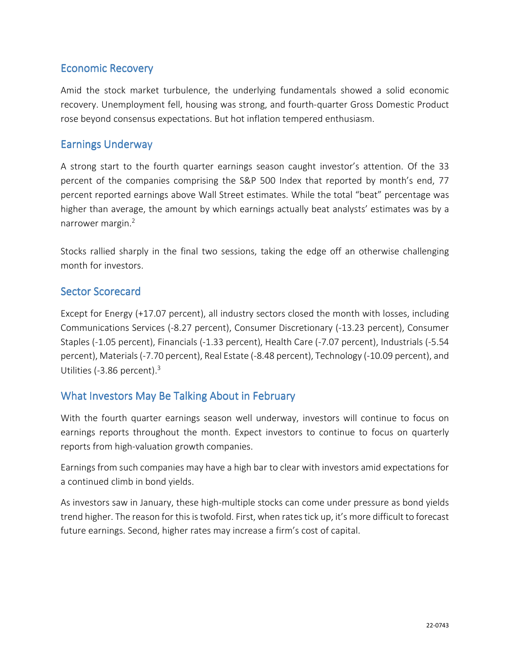#### Economic Recovery

Amid the stock market turbulence, the underlying fundamentals showed a solid economic recovery. Unemployment fell, housing was strong, and fourth-quarter Gross Domestic Product rose beyond consensus expectations. But hot inflation tempered enthusiasm.

#### **Earnings Underway**

A strong start to the fourth quarter earnings season caught investor's attention. Of the 33 percent of the companies comprising the S&P 500 Index that reported by month's end, 77 percent reported earnings above Wall Street estimates. While the total "beat" percentage was higher than average, the amount by which earnings actually beat analysts' estimates was by a narrower margin.<sup>2</sup>

Stocks rallied sharply in the final two sessions, taking the edge off an otherwise challenging month for investors.

#### Sector Scorecard

Except for Energy (+17.07 percent), all industry sectors closed the month with losses, including Communications Services (-8.27 percent), Consumer Discretionary (-13.23 percent), Consumer Staples (-1.05 percent), Financials (-1.33 percent), Health Care (-7.07 percent), Industrials (-5.54 percent), Materials (-7.70 percent), Real Estate (-8.48 percent), Technology (-10.09 percent), and Utilities (-3.86 percent).<sup>3</sup>

### What Investors May Be Talking About in February

With the fourth quarter earnings season well underway, investors will continue to focus on earnings reports throughout the month. Expect investors to continue to focus on quarterly reports from high-valuation growth companies.

Earnings from such companies may have a high bar to clear with investors amid expectations for a continued climb in bond yields.

As investors saw in January, these high-multiple stocks can come under pressure as bond yields trend higher. The reason for this is twofold. First, when rates tick up, it's more difficult to forecast future earnings. Second, higher rates may increase a firm's cost of capital.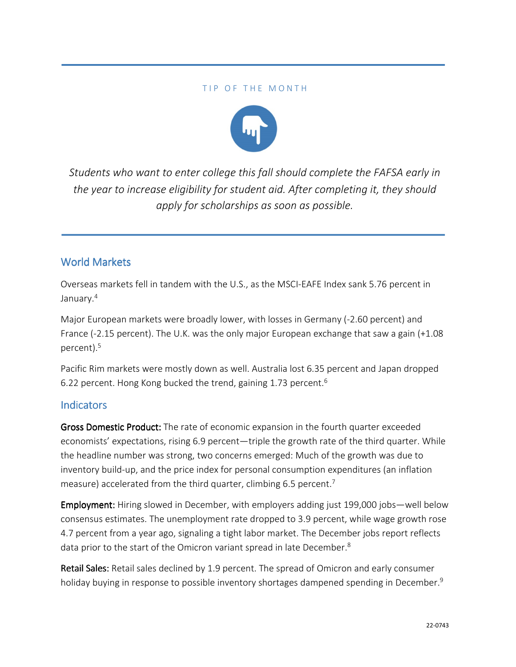#### TIP OF THE MONTH



*Students who want to enter college this fall should complete the FAFSA early in the year to increase eligibility for student aid. After completing it, they should apply for scholarships as soon as possible.*

#### World Markets

Overseas markets fell in tandem with the U.S., as the MSCI-EAFE Index sank 5.76 percent in January.<sup>4</sup>

Major European markets were broadly lower, with losses in Germany (-2.60 percent) and France (-2.15 percent). The U.K. was the only major European exchange that saw a gain (+1.08 percent).<sup>5</sup>

Pacific Rim markets were mostly down as well. Australia lost 6.35 percent and Japan dropped 6.22 percent. Hong Kong bucked the trend, gaining 1.73 percent.<sup>6</sup>

#### **Indicators**

Gross Domestic Product: The rate of economic expansion in the fourth quarter exceeded economists' expectations, rising 6.9 percent—triple the growth rate of the third quarter. While the headline number was strong, two concerns emerged: Much of the growth was due to inventory build-up, and the price index for personal consumption expenditures (an inflation measure) accelerated from the third quarter, climbing 6.5 percent.<sup>7</sup>

Employment: Hiring slowed in December, with employers adding just 199,000 jobs—well below consensus estimates. The unemployment rate dropped to 3.9 percent, while wage growth rose 4.7 percent from a year ago, signaling a tight labor market. The December jobs report reflects data prior to the start of the Omicron variant spread in late December.<sup>8</sup>

Retail Sales: Retail sales declined by 1.9 percent. The spread of Omicron and early consumer holiday buying in response to possible inventory shortages dampened spending in December.<sup>9</sup>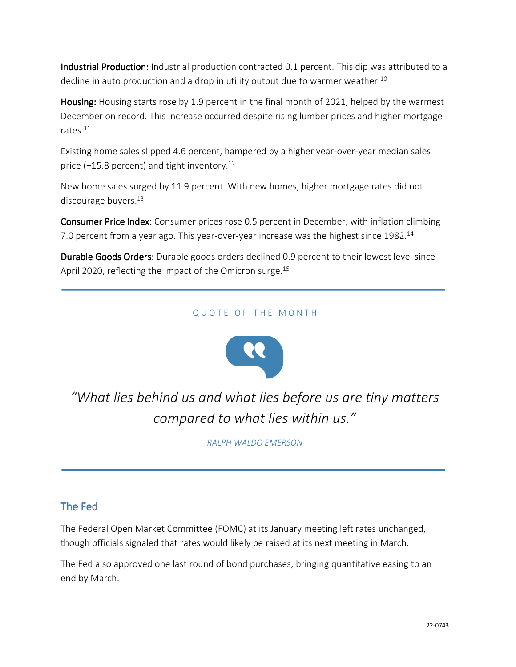Industrial Production: Industrial production contracted 0.1 percent. This dip was attributed to a decline in auto production and a drop in utility output due to warmer weather.<sup>10</sup>

Housing: Housing starts rose by 1.9 percent in the final month of 2021, helped by the warmest December on record. This increase occurred despite rising lumber prices and higher mortgage rates. $^{11}$ 

Existing home sales slipped 4.6 percent, hampered by a higher year-over-year median sales price (+15.8 percent) and tight inventory.<sup>12</sup>

New home sales surged by 11.9 percent. With new homes, higher mortgage rates did not discourage buyers. $^{13}$ 

Consumer Price Index: Consumer prices rose 0.5 percent in December, with inflation climbing 7.0 percent from a year ago. This year-over-year increase was the highest since  $1982.^{14}$ 

Durable Goods Orders: Durable goods orders declined 0.9 percent to their lowest level since April 2020, reflecting the impact of the Omicron surge.<sup>15</sup>

#### QUOTE OF THE MONTH



*"What lies behind us and what lies before us are tiny matters compared to what lies within us."* 

*RALPH WALDO EMERSON*

### The Fed

The Federal Open Market Committee (FOMC) at its January meeting left rates unchanged, though officials signaled that rates would likely be raised at its next meeting in March.

The Fed also approved one last round of bond purchases, bringing quantitative easing to an end by March.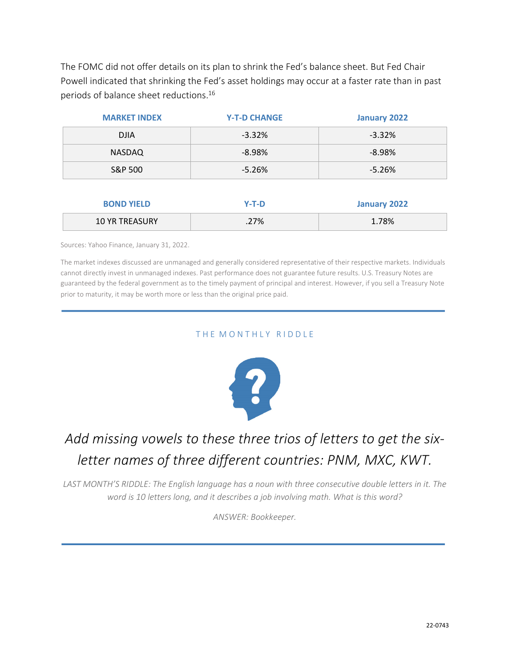The FOMC did not offer details on its plan to shrink the Fed's balance sheet. But Fed Chair Powell indicated that shrinking the Fed's asset holdings may occur at a faster rate than in past periods of balance sheet reductions.<sup>16</sup>

| <b>MARKET INDEX</b>   | <b>Y-T-D CHANGE</b> | January 2022 |
|-----------------------|---------------------|--------------|
| <b>DJIA</b>           | $-3.32%$            | $-3.32%$     |
| <b>NASDAQ</b>         | $-8.98%$            | $-8.98%$     |
| S&P 500               | $-5.26%$            | $-5.26%$     |
|                       |                     |              |
| <b>BOND YIELD</b>     | $Y-T-D$             | January 2022 |
| <b>10 YR TREASURY</b> | .27%                | 1.78%        |

Sources: Yahoo Finance, January 31, 2022.

The market indexes discussed are unmanaged and generally considered representative of their respective markets. Individuals cannot directly invest in unmanaged indexes. Past performance does not guarantee future results. U.S. Treasury Notes are guaranteed by the federal government as to the timely payment of principal and interest. However, if you sell a Treasury Note prior to maturity, it may be worth more or less than the original price paid.

#### THE MONTHLY RIDDLE



## *Add missing vowels to these three trios of letters to get the sixletter names of three different countries: PNM, MXC, KWT.*

*LAST MONTH'S RIDDLE: The English language has a noun with three consecutive double letters in it. The word is 10 letters long, and it describes a job involving math. What is this word?* 

*ANSWER: Bookkeeper.*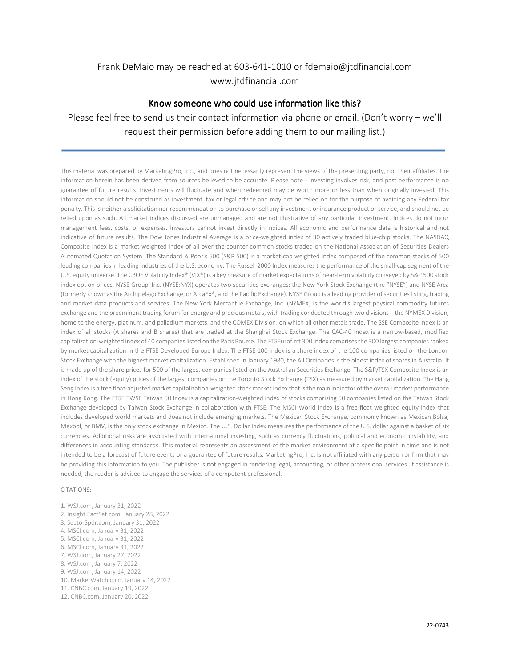#### Frank DeMaio may be reached at 603-641-1010 or fdemaio@jtdfinancial.com www.jtdfinancial.com

#### Know someone who could use information like this?

Please feel free to send us their contact information via phone or email. (Don't worry – we'll request their permission before adding them to our mailing list.)

This material was prepared by MarketingPro, Inc., and does not necessarily represent the views of the presenting party, nor their affiliates. The information herein has been derived from sources believed to be accurate. Please note - investing involves risk, and past performance is no guarantee of future results. Investments will fluctuate and when redeemed may be worth more or less than when originally invested. This information should not be construed as investment, tax or legal advice and may not be relied on for the purpose of avoiding any Federal tax penalty. This is neither a solicitation nor recommendation to purchase or sell any investment or insurance product or service, and should not be relied upon as such. All market indices discussed are unmanaged and are not illustrative of any particular investment. Indices do not incur management fees, costs, or expenses. Investors cannot invest directly in indices. All economic and performance data is historical and not indicative of future results. The Dow Jones Industrial Average is a price-weighted index of 30 actively traded blue-chip stocks. The NASDAQ Composite Index is a market-weighted index of all over-the-counter common stocks traded on the National Association of Securities Dealers Automated Quotation System. The Standard & Poor's 500 (S&P 500) is a market-cap weighted index composed of the common stocks of 500 leading companies in leading industries of the U.S. economy. The Russell 2000 Index measures the performance of the small-cap segment of the U.S. equity universe. The CBOE Volatility Index® (VIX®) is a key measure of market expectations of near-term volatility conveyed by S&P 500 stock index option prices. NYSE Group, Inc. (NYSE:NYX) operates two securities exchanges: the New York Stock Exchange (the "NYSE") and NYSE Arca (formerly known as the Archipelago Exchange, or ArcaEx®, and the Pacific Exchange). NYSE Group is a leading provider of securities listing, trading and market data products and services. The New York Mercantile Exchange, Inc. (NYMEX) is the world's largest physical commodity futures exchange and the preeminent trading forum for energy and precious metals, with trading conducted through two divisions – the NYMEX Division, home to the energy, platinum, and palladium markets, and the COMEX Division, on which all other metals trade. The SSE Composite Index is an index of all stocks (A shares and B shares) that are traded at the Shanghai Stock Exchange. The CAC-40 Index is a narrow-based, modified capitalization-weighted index of 40 companies listed on the Paris Bourse. The FTSEurofirst 300 Index comprises the 300 largest companies ranked by market capitalization in the FTSE Developed Europe Index. The FTSE 100 Index is a share index of the 100 companies listed on the London Stock Exchange with the highest market capitalization. Established in January 1980, the All Ordinaries is the oldest index of shares in Australia. It is made up of the share prices for 500 of the largest companies listed on the Australian Securities Exchange. The S&P/TSX Composite Index is an index of the stock (equity) prices of the largest companies on the Toronto Stock Exchange (TSX) as measured by market capitalization. The Hang Seng Index is a free float-adjusted market capitalization-weighted stock market index that is the main indicator of the overall market performance in Hong Kong. The FTSE TWSE Taiwan 50 Index is a capitalization-weighted index of stocks comprising 50 companies listed on the Taiwan Stock Exchange developed by Taiwan Stock Exchange in collaboration with FTSE. The MSCI World Index is a free-float weighted equity index that includes developed world markets and does not include emerging markets. The Mexican Stock Exchange, commonly known as Mexican Bolsa, Mexbol, or BMV, is the only stock exchange in Mexico. The U.S. Dollar Index measures the performance of the U.S. dollar against a basket of six currencies. Additional risks are associated with international investing, such as currency fluctuations, political and economic instability, and differences in accounting standards. This material represents an assessment of the market environment at a specific point in time and is not intended to be a forecast of future events or a guarantee of future results. MarketingPro, Inc. is not affiliated with any person or firm that may be providing this information to you. The publisher is not engaged in rendering legal, accounting, or other professional services. If assistance is needed, the reader is advised to engage the services of a competent professional.

#### CITATIONS:

1. WSJ.com, January 31, 2022 2. Insight.FactSet.com, January 28, 2022 3. SectorSpdr.com, January 31, 2022 4. MSCI.com, January 31, 2022 5. MSCI.com, January 31, 2022 6. MSCI.com, January 31, 2022 7. WSJ.com, January 27, 2022 8. WSJ.com, January 7, 2022 9. WSJ.com, January 14, 2022 10. MarketWatch.com, January 14, 2022 11. CNBC.com, January 19, 2022 12. CNBC.com, January 20, 2022